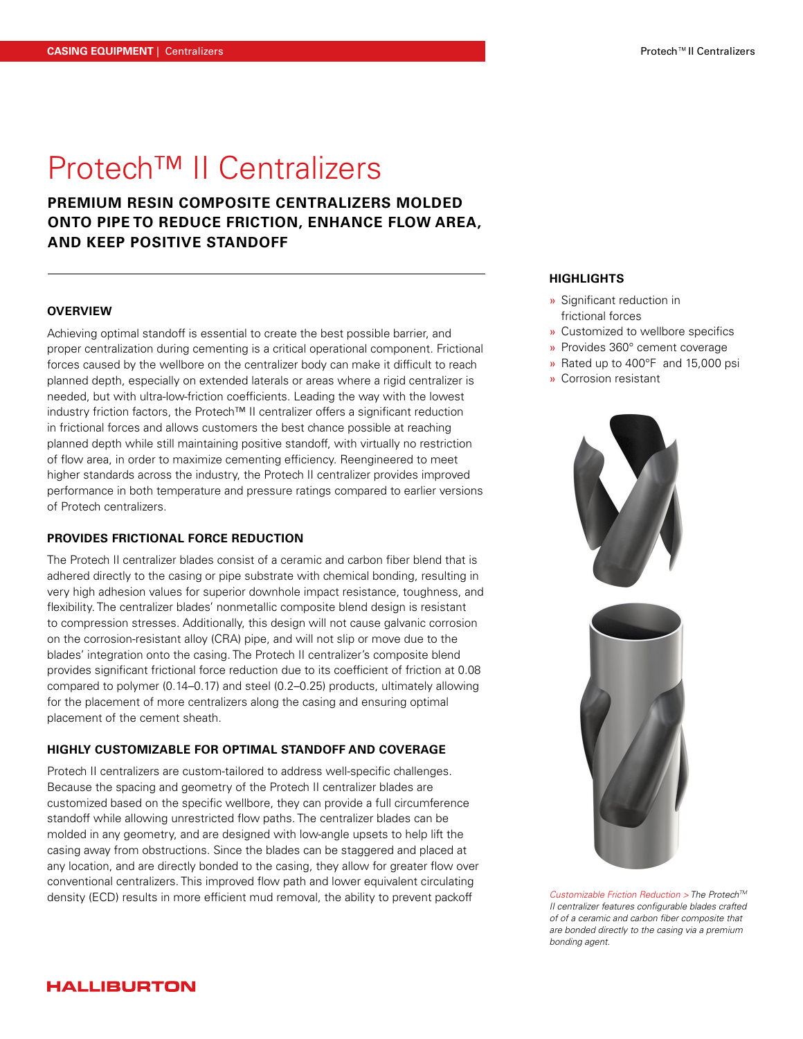# Protech™ II Centralizers

**PREMIUM RESIN COMPOSITE CENTRALIZERS MOLDED ONTO PIPE TO REDUCE FRICTION, ENHANCE FLOW AREA, AND KEEP POSITIVE STANDOFF** 

# **OVERVIEW**

Achieving optimal standoff is essential to create the best possible barrier, and proper centralization during cementing is a critical operational component. Frictional forces caused by the wellbore on the centralizer body can make it difficult to reach planned depth, especially on extended laterals or areas where a rigid centralizer is needed, but with ultra-low-friction coefficients. Leading the way with the lowest industry friction factors, the Protech™ II centralizer offers a significant reduction in frictional forces and allows customers the best chance possible at reaching planned depth while still maintaining positive standoff, with virtually no restriction of flow area, in order to maximize cementing efficiency. Reengineered to meet higher standards across the industry, the Protech II centralizer provides improved performance in both temperature and pressure ratings compared to earlier versions of Protech centralizers.

# **PROVIDES FRICTIONAL FORCE REDUCTION**

The Protech II centralizer blades consist of a ceramic and carbon fiber blend that is adhered directly to the casing or pipe substrate with chemical bonding, resulting in very high adhesion values for superior downhole impact resistance, toughness, and flexibility. The centralizer blades' nonmetallic composite blend design is resistant to compression stresses. Additionally, this design will not cause galvanic corrosion on the corrosion-resistant alloy (CRA) pipe, and will not slip or move due to the blades' integration onto the casing. The Protech II centralizer's composite blend provides significant frictional force reduction due to its coefficient of friction at 0.08 compared to polymer (0.14–0.17) and steel (0.2–0.25) products, ultimately allowing for the placement of more centralizers along the casing and ensuring optimal placement of the cement sheath.

#### **HIGHLY CUSTOMIZABLE FOR OPTIMAL STANDOFF AND COVERAGE**

Protech II centralizers are custom-tailored to address well-specific challenges. Because the spacing and geometry of the Protech II centralizer blades are customized based on the specific wellbore, they can provide a full circumference standoff while allowing unrestricted flow paths. The centralizer blades can be molded in any geometry, and are designed with low-angle upsets to help lift the casing away from obstructions. Since the blades can be staggered and placed at any location, and are directly bonded to the casing, they allow for greater flow over conventional centralizers. This improved flow path and lower equivalent circulating density (ECD) results in more efficient mud removal, the ability to prevent packoff

# **HIGHLIGHTS**

- » Significant reduction in frictional forces
- » Customized to wellbore specifics
- » Provides 360° cement coverage
- » Rated up to 400°F and 15,000 psi
- » Corrosion resistant



*Customizable Friction Reduction > The ProtechTM II centralizer features configurable blades crafted of of a ceramic and carbon fiber composite that are bonded directly to the casing via a premium bonding agent.* 

# **HALLIBURTON**